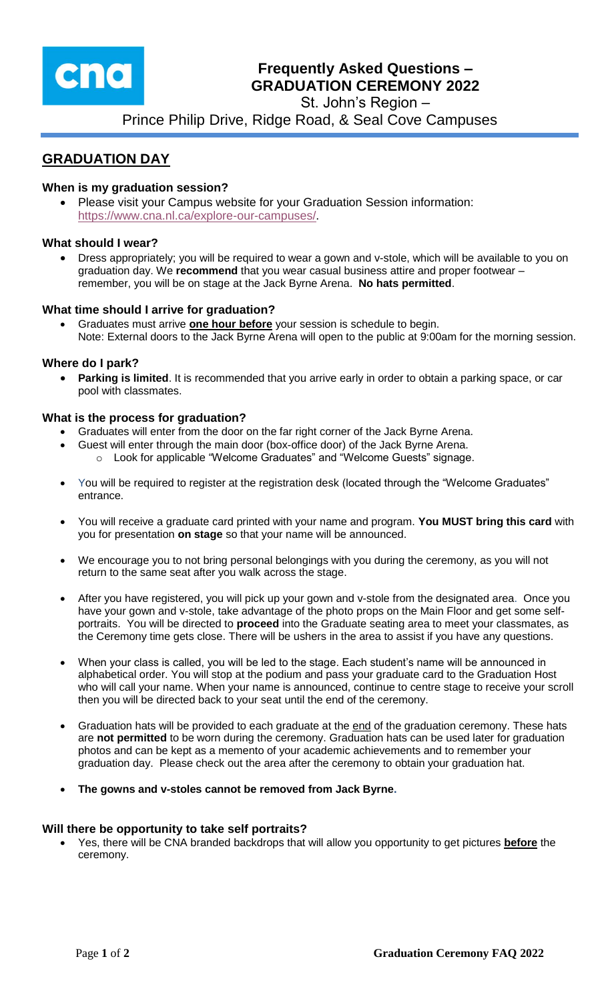

# **Frequently Asked Questions – GRADUATION CEREMONY 2022**

St. John's Region –

Prince Philip Drive, Ridge Road, & Seal Cove Campuses

# **GRADUATION DAY**

# **When is my graduation session?**

 Please visit your Campus website for your Graduation Session information: [https://www.cna.nl.ca/explore-our-campuses/.](https://www.cna.nl.ca/explore-our-campuses/)

#### **What should I wear?**

 Dress appropriately; you will be required to wear a gown and v-stole, which will be available to you on graduation day. We **recommend** that you wear casual business attire and proper footwear – remember, you will be on stage at the Jack Byrne Arena. **No hats permitted**.

## **What time should I arrive for graduation?**

 Graduates must arrive **one hour before** your session is schedule to begin. Note: External doors to the Jack Byrne Arena will open to the public at 9:00am for the morning session.

## **Where do I park?**

 **Parking is limited**. It is recommended that you arrive early in order to obtain a parking space, or car pool with classmates.

#### **What is the process for graduation?**

- Graduates will enter from the door on the far right corner of the Jack Byrne Arena.
- Guest will enter through the main door (box-office door) of the Jack Byrne Arena.
	- o Look for applicable "Welcome Graduates" and "Welcome Guests" signage.
- You will be required to register at the registration desk (located through the "Welcome Graduates" entrance.
- You will receive a graduate card printed with your name and program. **You MUST bring this card** with you for presentation **on stage** so that your name will be announced.
- We encourage you to not bring personal belongings with you during the ceremony, as you will not return to the same seat after you walk across the stage.
- After you have registered, you will pick up your gown and v-stole from the designated area. Once you have your gown and v-stole, take advantage of the photo props on the Main Floor and get some selfportraits. You will be directed to **proceed** into the Graduate seating area to meet your classmates, as the Ceremony time gets close. There will be ushers in the area to assist if you have any questions.
- When your class is called, you will be led to the stage. Each student's name will be announced in alphabetical order. You will stop at the podium and pass your graduate card to the Graduation Host who will call your name. When your name is announced, continue to centre stage to receive your scroll then you will be directed back to your seat until the end of the ceremony.
- Graduation hats will be provided to each graduate at the end of the graduation ceremony. These hats are **not permitted** to be worn during the ceremony. Graduation hats can be used later for graduation photos and can be kept as a memento of your academic achievements and to remember your graduation day. Please check out the area after the ceremony to obtain your graduation hat.
- **The gowns and v-stoles cannot be removed from Jack Byrne.**

#### **Will there be opportunity to take self portraits?**

 Yes, there will be CNA branded backdrops that will allow you opportunity to get pictures **before** the ceremony.